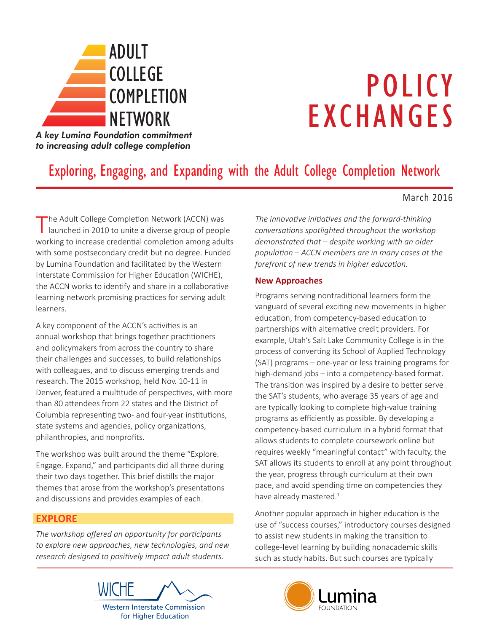

# POLICY EXCHANGES

*A key Lumina Foundation commitment to increasing adult college completion*

# Exploring, Engaging, and Expanding with the Adult College Completion Network

#### March 2016

The Adult College Completion Network (ACCN) was launched in 2010 to unite a diverse group of people working to increase credential completion among adults with some postsecondary credit but no degree. Funded by Lumina Foundation and facilitated by the Western Interstate Commission for Higher Education (WICHE), the ACCN works to identify and share in a collaborative learning network promising practices for serving adult learners.

A key component of the ACCN's activities is an annual workshop that brings together practitioners and policymakers from across the country to share their challenges and successes, to build relationships with colleagues, and to discuss emerging trends and research. The 2015 workshop, held Nov. 10-11 in Denver, featured a multitude of perspectives, with more than 80 attendees from 22 states and the District of Columbia representing two- and four-year institutions, state systems and agencies, policy organizations, philanthropies, and nonprofits.

The workshop was built around the theme "Explore. Engage. Expand," and participants did all three during their two days together. This brief distills the major themes that arose from the workshop's presentations and discussions and provides examples of each.

#### **EXPLORE**

*The workshop offered an opportunity for participants to explore new approaches, new technologies, and new research designed to positively impact adult students.* 

*The innovative initiatives and the forward-thinking conversations spotlighted throughout the workshop demonstrated that – despite working with an older population – ACCN members are in many cases at the forefront of new trends in higher education.*

#### **New Approaches**

Programs serving nontraditional learners form the vanguard of several exciting new movements in higher education, from competency-based education to partnerships with alternative credit providers. For example, Utah's Salt Lake Community College is in the process of converting its School of Applied Technology (SAT) programs – one-year or less training programs for high-demand jobs – into a competency-based format. The transition was inspired by a desire to better serve the SAT's students, who average 35 years of age and are typically looking to complete high-value training programs as efficiently as possible. By developing a competency-based curriculum in a hybrid format that allows students to complete coursework online but requires weekly "meaningful contact" with faculty, the SAT allows its students to enroll at any point throughout the year, progress through curriculum at their own pace, and avoid spending time on competencies they have already mastered. $1$ 

Another popular approach in higher education is the use of "success courses," introductory courses designed to assist new students in making the transition to college-level learning by building nonacademic skills such as study habits. But such courses are typically <u>NETWORKS I</u>



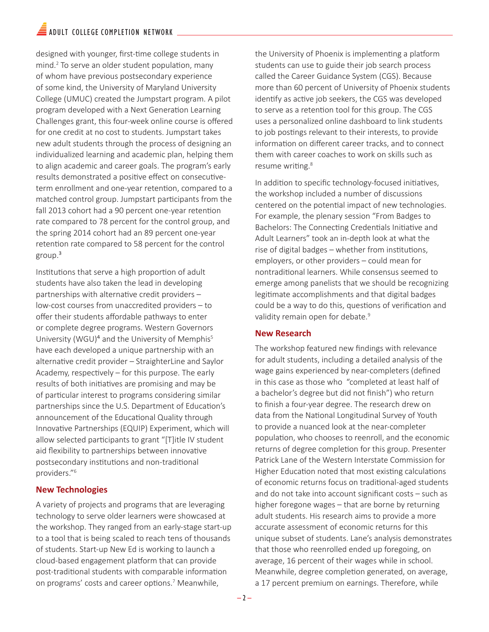designed with younger, first-time college students in mind.2 To serve an older student population, many of whom have previous postsecondary experience of some kind, the University of Maryland University College (UMUC) created the Jumpstart program. A pilot program developed with a Next Generation Learning Challenges grant, this four-week online course is offered for one credit at no cost to students. Jumpstart takes new adult students through the process of designing an individualized learning and academic plan, helping them to align academic and career goals. The program's early results demonstrated a positive effect on consecutiveterm enrollment and one-year retention, compared to a matched control group. Jumpstart participants from the fall 2013 cohort had a 90 percent one-year retention rate compared to 78 percent for the control group, and the spring 2014 cohort had an 89 percent one-year retention rate compared to 58 percent for the control group.<sup>3</sup>

Institutions that serve a high proportion of adult students have also taken the lead in developing partnerships with alternative credit providers – low-cost courses from unaccredited providers – to offer their students affordable pathways to enter or complete degree programs. Western Governors University (WGU) $4$  and the University of Memphis<sup>5</sup> have each developed a unique partnership with an alternative credit provider – StraighterLine and Saylor Academy, respectively – for this purpose. The early results of both initiatives are promising and may be of particular interest to programs considering similar partnerships since the U.S. Department of Education's announcement of the Educational Quality through Innovative Partnerships (EQUIP) Experiment, which will allow selected participants to grant "[T]itle IV student aid flexibility to partnerships between innovative postsecondary institutions and non-traditional providers."<sup>6</sup>

#### **New Technologies**

A variety of projects and programs that are leveraging technology to serve older learners were showcased at the workshop. They ranged from an early-stage start-up to a tool that is being scaled to reach tens of thousands of students. Start-up New Ed is working to launch a cloud-based engagement platform that can provide post-traditional students with comparable information on programs' costs and career options.<sup>7</sup> Meanwhile,

the University of Phoenix is implementing a platform students can use to guide their job search process called the Career Guidance System (CGS). Because more than 60 percent of University of Phoenix students identify as active job seekers, the CGS was developed to serve as a retention tool for this group. The CGS uses a personalized online dashboard to link students to job postings relevant to their interests, to provide information on different career tracks, and to connect them with career coaches to work on skills such as resume writing.<sup>8</sup>

In addition to specific technology-focused initiatives, the workshop included a number of discussions centered on the potential impact of new technologies. For example, the plenary session "From Badges to Bachelors: The Connecting Credentials Initiative and Adult Learners" took an in-depth look at what the rise of digital badges – whether from institutions, employers, or other providers – could mean for nontraditional learners. While consensus seemed to emerge among panelists that we should be recognizing legitimate accomplishments and that digital badges could be a way to do this, questions of verification and validity remain open for debate.<sup>9</sup>

#### **New Research**

The workshop featured new findings with relevance for adult students, including a detailed analysis of the wage gains experienced by near-completers (defined in this case as those who "completed at least half of a bachelor's degree but did not finish") who return to finish a four-year degree. The research drew on data from the National Longitudinal Survey of Youth to provide a nuanced look at the near-completer population, who chooses to reenroll, and the economic returns of degree completion for this group. Presenter Patrick Lane of the Western Interstate Commission for Higher Education noted that most existing calculations of economic returns focus on traditional-aged students and do not take into account significant costs – such as higher foregone wages – that are borne by returning adult students. His research aims to provide a more accurate assessment of economic returns for this unique subset of students. Lane's analysis demonstrates that those who reenrolled ended up foregoing, on average, 16 percent of their wages while in school. Meanwhile, degree completion generated, on average, a 17 percent premium on earnings. Therefore, while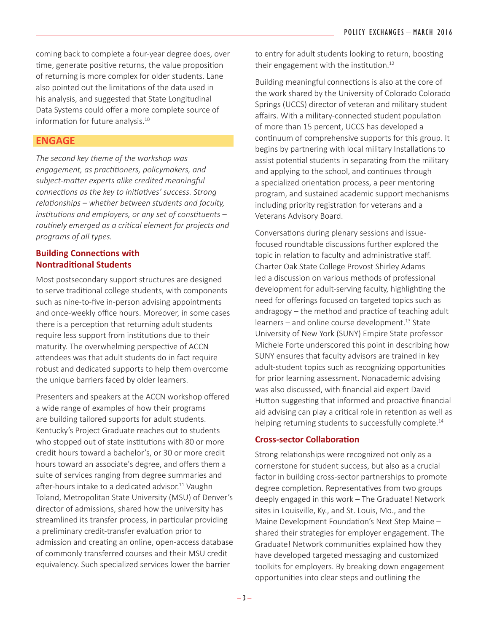coming back to complete a four-year degree does, over time, generate positive returns, the value proposition of returning is more complex for older students. Lane also pointed out the limitations of the data used in his analysis, and suggested that State Longitudinal Data Systems could offer a more complete source of information for future analysis.<sup>10</sup>

#### **ENGAGE**

*The second key theme of the workshop was engagement, as practitioners, policymakers, and subject-matter experts alike credited meaningful connections as the key to initiatives' success. Strong relationships – whether between students and faculty, institutions and employers, or any set of constituents – routinely emerged as a critical element for projects and programs of all types.* 

#### **Building Connections with Nontraditional Students**

Most postsecondary support structures are designed to serve traditional college students, with components such as nine-to-five in-person advising appointments and once-weekly office hours. Moreover, in some cases there is a perception that returning adult students require less support from institutions due to their maturity. The overwhelming perspective of ACCN attendees was that adult students do in fact require robust and dedicated supports to help them overcome the unique barriers faced by older learners.

Presenters and speakers at the ACCN workshop offered a wide range of examples of how their programs are building tailored supports for adult students. Kentucky's Project Graduate reaches out to students who stopped out of state institutions with 80 or more credit hours toward a bachelor's, or 30 or more credit hours toward an associate's degree, and offers them a suite of services ranging from degree summaries and after-hours intake to a dedicated advisor.<sup>11</sup> Vaughn Toland, Metropolitan State University (MSU) of Denver's director of admissions, shared how the university has streamlined its transfer process, in particular providing a preliminary credit-transfer evaluation prior to admission and creating an online, open-access database of commonly transferred courses and their MSU credit equivalency. Such specialized services lower the barrier

to entry for adult students looking to return, boosting their engagement with the institution.<sup>12</sup>

Building meaningful connections is also at the core of the work shared by the University of Colorado Colorado Springs (UCCS) director of veteran and military student affairs. With a military-connected student population of more than 15 percent, UCCS has developed a continuum of comprehensive supports for this group. It begins by partnering with local military Installations to assist potential students in separating from the military and applying to the school, and continues through a specialized orientation process, a peer mentoring program, and sustained academic support mechanisms including priority registration for veterans and a Veterans Advisory Board.

Conversations during plenary sessions and issuefocused roundtable discussions further explored the topic in relation to faculty and administrative staff. Charter Oak State College Provost Shirley Adams led a discussion on various methods of professional development for adult-serving faculty, highlighting the need for offerings focused on targeted topics such as andragogy – the method and practice of teaching adult  $learners -$  and online course development.<sup>13</sup> State University of New York (SUNY) Empire State professor Michele Forte underscored this point in describing how SUNY ensures that faculty advisors are trained in key adult-student topics such as recognizing opportunities for prior learning assessment. Nonacademic advising was also discussed, with financial aid expert David Hutton suggesting that informed and proactive financial aid advising can play a critical role in retention as well as helping returning students to successfully complete.<sup>14</sup>

#### **Cross-sector Collaboration**

Strong relationships were recognized not only as a cornerstone for student success, but also as a crucial factor in building cross-sector partnerships to promote degree completion. Representatives from two groups deeply engaged in this work – The Graduate! Network sites in Louisville, Ky., and St. Louis, Mo., and the Maine Development Foundation's Next Step Maine – shared their strategies for employer engagement. The Graduate! Network communities explained how they have developed targeted messaging and customized toolkits for employers. By breaking down engagement opportunities into clear steps and outlining the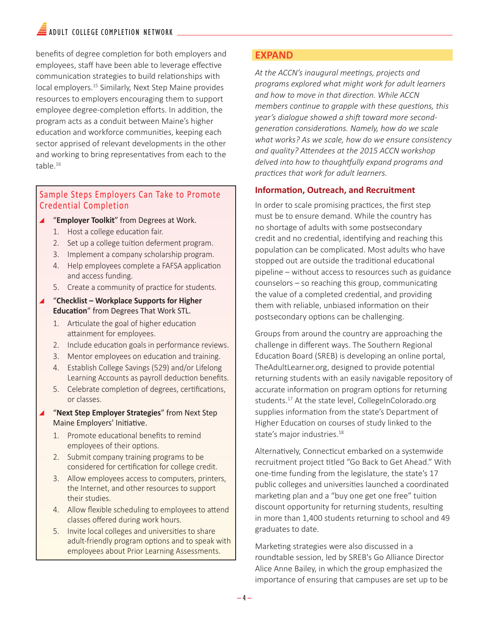### $\blacksquare$  ADULT COLLEGE COMPLETION NETWORK

benefits of degree completion for both employers and employees, staff have been able to leverage effective communication strategies to build relationships with local employers.<sup>15</sup> Similarly, Next Step Maine provides resources to employers encouraging them to support employee degree-completion efforts. In addition, the program acts as a conduit between Maine's higher education and workforce communities, keeping each sector apprised of relevant developments in the other and working to bring representatives from each to the table.<sup>16</sup>

#### Sample Steps Employers Can Take to Promote Credential Completion

- \ "**Employer Toolkit**" from Degrees at Work.
	- 1. Host a college education fair.
	- 2. Set up a college tuition deferment program.
	- 3. Implement a company scholarship program.
	- 4. Help employees complete a FAFSA application and access funding.
	- 5. Create a community of practice for students.
- \ "**Checklist Workplace Supports for Higher Education**" from Degrees That Work STL.
	- 1. Articulate the goal of higher education attainment for employees.
	- 2. Include education goals in performance reviews.
	- 3. Mentor employees on education and training.
	- 4. Establish College Savings (529) and/or Lifelong Learning Accounts as payroll deduction benefits.
	- 5. Celebrate completion of degrees, certifications, or classes.
- \ "**Next Step Employer Strategies**" from Next Step Maine Employers' Initiative.
	- 1. Promote educational benefits to remind employees of their options.
	- 2. Submit company training programs to be considered for certification for college credit.
	- 3. Allow employees access to computers, printers, the Internet, and other resources to support their studies.
	- 4. Allow flexible scheduling to employees to attend classes offered during work hours.
	- 5. Invite local colleges and universities to share adult-friendly program options and to speak with employees about Prior Learning Assessments.

#### **EXPAND**

*At the ACCN's inaugural meetings, projects and programs explored what might work for adult learners and how to move in that direction. While ACCN members continue to grapple with these questions, this year's dialogue showed a shift toward more secondgeneration considerations. Namely, how do we scale what works? As we scale, how do we ensure consistency and quality? Attendees at the 2015 ACCN workshop delved into how to thoughtfully expand programs and practices that work for adult learners.* 

#### **Information, Outreach, and Recruitment**

In order to scale promising practices, the first step must be to ensure demand. While the country has no shortage of adults with some postsecondary credit and no credential, identifying and reaching this population can be complicated. Most adults who have stopped out are outside the traditional educational pipeline – without access to resources such as guidance counselors – so reaching this group, communicating the value of a completed credential, and providing them with reliable, unbiased information on their postsecondary options can be challenging.

Groups from around the country are approaching the challenge in different ways. The Southern Regional Education Board (SREB) is developing an online portal, TheAdultLearner.org, designed to provide potential returning students with an easily navigable repository of accurate information on program options for returning students.<sup>17</sup> At the state level, CollegeInColorado.org supplies information from the state's Department of Higher Education on courses of study linked to the state's major industries.<sup>18</sup>

Alternatively, Connecticut embarked on a systemwide recruitment project titled "Go Back to Get Ahead." With one-time funding from the legislature, the state's 17 public colleges and universities launched a coordinated marketing plan and a "buy one get one free" tuition discount opportunity for returning students, resulting in more than 1,400 students returning to school and 49 graduates to date.

Marketing strategies were also discussed in a roundtable session, led by SREB's Go Alliance Director Alice Anne Bailey, in which the group emphasized the importance of ensuring that campuses are set up to be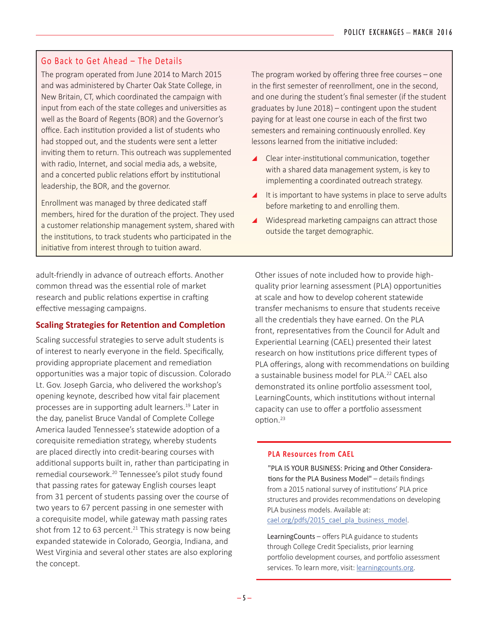#### Go Back to Get Ahead – The Details

The program operated from June 2014 to March 2015 and was administered by Charter Oak State College, in New Britain, CT, which coordinated the campaign with input from each of the state colleges and universities as well as the Board of Regents (BOR) and the Governor's office. Each institution provided a list of students who had stopped out, and the students were sent a letter inviting them to return. This outreach was supplemented with radio, Internet, and social media ads, a website, and a concerted public relations effort by institutional leadership, the BOR, and the governor.

Enrollment was managed by three dedicated staff members, hired for the duration of the project. They used a customer relationship management system, shared with the institutions, to track students who participated in the initiative from interest through to tuition award.

adult-friendly in advance of outreach efforts. Another common thread was the essential role of market research and public relations expertise in crafting effective messaging campaigns.

#### **Scaling Strategies for Retention and Completion**

Scaling successful strategies to serve adult students is of interest to nearly everyone in the field. Specifically, providing appropriate placement and remediation opportunities was a major topic of discussion. Colorado Lt. Gov. Joseph Garcia, who delivered the workshop's opening keynote, described how vital fair placement processes are in supporting adult learners.<sup>19</sup> Later in the day, panelist Bruce Vandal of Complete College America lauded Tennessee's statewide adoption of a corequisite remediation strategy, whereby students are placed directly into credit-bearing courses with additional supports built in, rather than participating in remedial coursework.20 Tennessee's pilot study found that passing rates for gateway English courses leapt from 31 percent of students passing over the course of two years to 67 percent passing in one semester with a corequisite model, while gateway math passing rates shot from 12 to 63 percent.<sup>21</sup> This strategy is now being expanded statewide in Colorado, Georgia, Indiana, and West Virginia and several other states are also exploring the concept.

The program worked by offering three free courses – one in the first semester of reenrollment, one in the second, and one during the student's final semester (if the student graduates by June 2018) – contingent upon the student paying for at least one course in each of the first two semesters and remaining continuously enrolled. Key lessons learned from the initiative included:

- \ Clear inter-institutional communication, together with a shared data management system, is key to implementing a coordinated outreach strategy.
- $\blacktriangle$  It is important to have systems in place to serve adults before marketing to and enrolling them.
- $\blacktriangle$  Widespread marketing campaigns can attract those outside the target demographic.

Other issues of note included how to provide highquality prior learning assessment (PLA) opportunities at scale and how to develop coherent statewide transfer mechanisms to ensure that students receive all the credentials they have earned. On the PLA front, representatives from the Council for Adult and Experiential Learning (CAEL) presented their latest research on how institutions price different types of PLA offerings, along with recommendations on building a sustainable business model for PLA.<sup>22</sup> CAEL also demonstrated its online portfolio assessment tool, LearningCounts, which institutions without internal capacity can use to offer a portfolio assessment option.23

#### **PLA Resources from CAEL**

"PLA IS YOUR BUSINESS: Pricing and Other Considerations for the PLA Business Model" – details findings from a 2015 national survey of institutions' PLA price structures and provides recommendations on developing PLA business models. Available at: cael.org/pdfs/2015 cael pla business model.

LearningCounts – offers PLA guidance to students through College Credit Specialists, prior learning portfolio development courses, and portfolio assessment services. To learn more, visit: [learningcounts.org.](http://www.learningcounts.org/)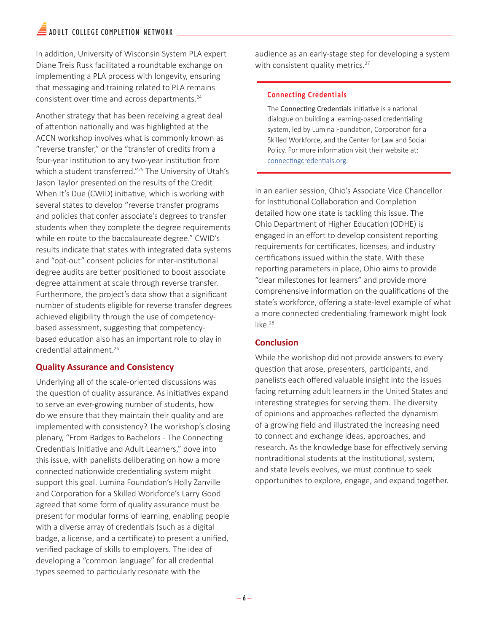## $\widehat{=}$  ADULT COLLEGE COMPLETION NETWORK

In addition, University of Wisconsin System PLA expert Diane Treis Rusk facilitated a roundtable exchange on implementing a PLA process with longevity, ensuring that messaging and training related to PLA remains consistent over time and across departments.24

Another strategy that has been receiving a great deal of attention nationally and was highlighted at the ACCN workshop involves what is commonly known as "reverse transfer," or the "transfer of credits from a four-year institution to any two-year institution from which a student transferred."<sup>25</sup> The University of Utah's Jason Taylor presented on the results of the Credit When It's Due (CWID) initiative, which is working with several states to develop "reverse transfer programs and policies that confer associate's degrees to transfer students when they complete the degree requirements while en route to the baccalaureate degree." CWID's results indicate that states with integrated data systems and "opt-out" consent policies for inter-institutional degree audits are better positioned to boost associate degree attainment at scale through reverse transfer. Furthermore, the project's data show that a significant number of students eligible for reverse transfer degrees achieved eligibility through the use of competencybased assessment, suggesting that competencybased education also has an important role to play in credential attainment.26

#### **Quality Assurance and Consistency**

Underlying all of the scale-oriented discussions was the question of quality assurance. As initiatives expand to serve an ever-growing number of students, how do we ensure that they maintain their quality and are implemented with consistency? The workshop's closing plenary, "From Badges to Bachelors - The Connecting Credentials Initiative and Adult Learners," dove into this issue, with panelists deliberating on how a more connected nationwide credentialing system might support this goal. Lumina Foundation's Holly Zanville and Corporation for a Skilled Workforce's Larry Good agreed that some form of quality assurance must be present for modular forms of learning, enabling people with a diverse array of credentials (such as a digital badge, a license, and a certificate) to present a unified, verified package of skills to employers. The idea of developing a "common language" for all credential types seemed to particularly resonate with the

audience as an early-stage step for developing a system with consistent quality metrics.<sup>27</sup>

#### **Connecting Credentials**

The Connecting Credentials initiative is a national dialogue on building a learning-based credentialing system, led by Lumina Foundation, Corporation for a Skilled Workforce, and the Center for Law and Social Policy. For more information visit their website at: [connectingcredentials.org.](http://connectingcredentials.org/)

In an earlier session, Ohio's Associate Vice Chancellor for Institutional Collaboration and Completion detailed how one state is tackling this issue. The Ohio Department of Higher Education (ODHE) is engaged in an effort to develop consistent reporting requirements for certificates, licenses, and industry certifications issued within the state. With these reporting parameters in place, Ohio aims to provide "clear milestones for learners" and provide more comprehensive information on the qualifications of the state's workforce, offering a state-level example of what a more connected credentialing framework might look like.<sup>28</sup>

#### **Conclusion**

While the workshop did not provide answers to every question that arose, presenters, participants, and panelists each offered valuable insight into the issues facing returning adult learners in the United States and interesting strategies for serving them. The diversity of opinions and approaches reflected the dynamism of a growing field and illustrated the increasing need to connect and exchange ideas, approaches, and research. As the knowledge base for effectively serving nontraditional students at the institutional, system, and state levels evolves, we must continue to seek opportunities to explore, engage, and expand together.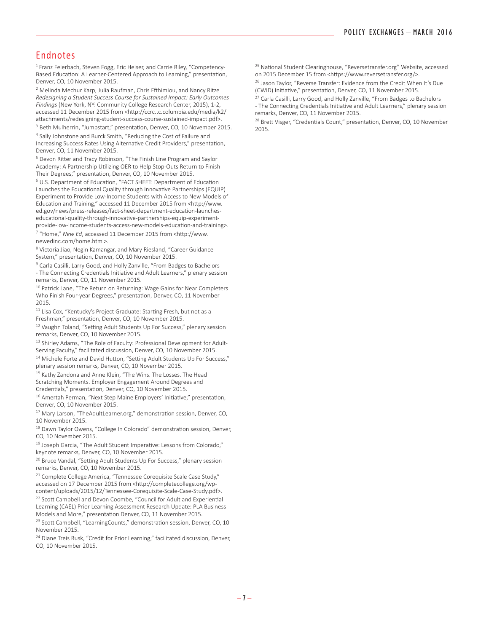#### Endnotes

<sup>1</sup> Franz Feierbach, Steven Fogg, Eric Heiser, and Carrie Riley, "Competency-Based Education: A Learner-Centered Approach to Learning," presentation, Denver, CO, 10 November 2015.

<sup>2</sup> Melinda Mechur Karp, Julia Raufman, Chris Efthimiou, and Nancy Ritze *Redesigning a Student Success Course for Sustained Impact: Early Outcomes Findings* (New York, NY: Community College Research Center, 2015), 1-2, accessed 11 December 2015 from <http://ccrc.tc.columbia.edu/media/k2/ attachments/redesigning-student-success-course-sustained-impact.pdf>.

<sup>3</sup> Beth Mulherrin, "Jumpstart," presentation, Denver, CO, 10 November 2015. 4 Sally Johnstone and Burck Smith, "Reducing the Cost of Failure and Increasing Success Rates Using Alternative Credit Providers," presentation, Denver, CO, 11 November 2015.

<sup>5</sup> Devon Ritter and Tracy Robinson, "The Finish Line Program and Saylor Academy: A Partnership Utilizing OER to Help Stop-Outs Return to Finish Their Degrees," presentation, Denver, CO, 10 November 2015.

<sup>6</sup> U.S. Department of Education, "FACT SHEET: Department of Education Launches the Educational Quality through Innovative Partnerships (EQUIP) Experiment to Provide Low-Income Students with Access to New Models of Education and Training," accessed 11 December 2015 from <http://www. ed.gov/news/press-releases/fact-sheet-department-education-launcheseducational-quality-through-innovative-partnerships-equip-experimentprovide-low-income-students-access-new-models-education-and-training>. 7 "Home," *New Ed*, accessed 11 December 2015 from <http://www. newedinc.com/home.html>.

<sup>8</sup> Victoria Jiao, Negin Kamangar, and Mary Riesland, "Career Guidance System," presentation, Denver, CO, 10 November 2015.

<sup>9</sup> Carla Casilli, Larry Good, and Holly Zanville, "From Badges to Bachelors

- The Connecting Credentials Initiative and Adult Learners," plenary session remarks, Denver, CO, 11 November 2015.

<sup>10</sup> Patrick Lane, "The Return on Returning: Wage Gains for Near Completers Who Finish Four-year Degrees," presentation, Denver, CO, 11 November 2015.

 $11$  Lisa Cox, "Kentucky's Project Graduate: Starting Fresh, but not as a Freshman," presentation, Denver, CO, 10 November 2015.

<sup>12</sup> Vaughn Toland, "Setting Adult Students Up For Success," plenary session remarks, Denver, CO, 10 November 2015.

<sup>13</sup> Shirley Adams, "The Role of Faculty: Professional Development for Adult-Serving Faculty," facilitated discussion, Denver, CO, 10 November 2015. <sup>14</sup> Michele Forte and David Hutton, "Setting Adult Students Up For Success." plenary session remarks, Denver, CO, 10 November 2015.

<sup>15</sup> Kathy Zandona and Anne Klein, "The Wins. The Losses. The Head Scratching Moments. Employer Engagement Around Degrees and Credentials," presentation, Denver, CO, 10 November 2015.

<sup>16</sup> Amertah Perman, "Next Step Maine Employers' Initiative," presentation, Denver, CO, 10 November 2015.

<sup>17</sup> Mary Larson, "TheAdultLearner.org," demonstration session, Denver, CO, 10 November 2015.

<sup>18</sup> Dawn Taylor Owens, "College In Colorado" demonstration session, Denver, CO, 10 November 2015.

<sup>19</sup> Joseph Garcia, "The Adult Student Imperative: Lessons from Colorado," keynote remarks, Denver, CO, 10 November 2015.

<sup>20</sup> Bruce Vandal, "Setting Adult Students Up For Success," plenary session remarks, Denver, CO, 10 November 2015.

<sup>21</sup> Complete College America, "Tennessee Corequisite Scale Case Study," accessed on 17 December 2015 from <http://completecollege.org/wpcontent/uploads/2015/12/Tennessee-Corequisite-Scale-Case-Study.pdf>.

<sup>22</sup> Scott Campbell and Devon Coombe, "Council for Adult and Experiential Learning (CAEL) Prior Learning Assessment Research Update: PLA Business Models and More," presentation Denver, CO, 11 November 2015.

<sup>23</sup> Scott Campbell, "LearningCounts," demonstration session, Denver, CO, 10 November 2015.

<sup>24</sup> Diane Treis Rusk, "Credit for Prior Learning," facilitated discussion, Denver, CO, 10 November 2015.

<sup>25</sup> National Student Clearinghouse, "Reversetransfer.org" Website, accessed on 2015 December 15 from <https://www.reversetransfer.org/>.

<sup>26</sup> Jason Taylor, "Reverse Transfer: Fyidence from the Credit When It's Due (CWID) Initiative," presentation, Denver, CO, 11 November 2015.

<sup>27</sup> Carla Casilli, Larry Good, and Holly Zanville, "From Badges to Bachelors - The Connecting Credentials Initiative and Adult Learners," plenary session remarks, Denver, CO, 11 November 2015.

<sup>28</sup> Brett Visger, "Credentials Count," presentation, Denver, CO, 10 November 2015.